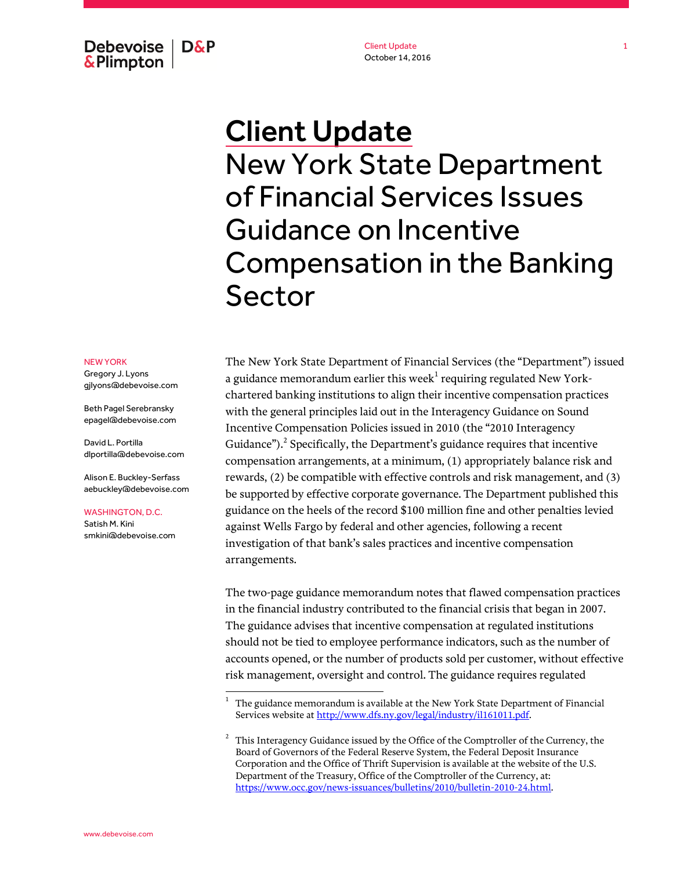Debevoise  $\overline{ }$  D&P **&Plimpton** 

Client Update October 14, 2016

## Client Update New York State Department of Financial Services Issues Guidance on Incentive Compensation in the Banking Sector

NEW YORK

Gregory J. Lyons gjlyons@debevoise.com

Beth Pagel Serebransky epagel@debevoise.com

David L. Portilla dlportilla@debevoise.com

Alison E. Buckley-Serfass aebuckley@debevoise.com

WASHINGTON, D.C. Satish M. Kini

smkini@debevoise.com

 $\overline{a}$ 

The New York State Department of Financial Services (the "Department") issued a guidance memorandum earlier this week $^{\rm l}$  requiring regulated New Yorkchartered banking institutions to align their incentive compensation practices with the general principles laid out in the Interagency Guidance on Sound Incentive Compensation Policies issued in 2010 (the "2010 Interagency Guidance"). $^2$  Specifically, the Department's guidance requires that incentive compensation arrangements, at a minimum, (1) appropriately balance risk and rewards, (2) be compatible with effective controls and risk management, and (3) be supported by effective corporate governance. The Department published this guidance on the heels of the record \$100 million fine and other penalties levied against Wells Fargo by federal and other agencies, following a recent investigation of that bank's sales practices and incentive compensation arrangements.

The two-page guidance memorandum notes that flawed compensation practices in the financial industry contributed to the financial crisis that began in 2007. The guidance advises that incentive compensation at regulated institutions should not be tied to employee performance indicators, such as the number of accounts opened, or the number of products sold per customer, without effective risk management, oversight and control. The guidance requires regulated

<sup>1</sup> The guidance memorandum is available at the New York State Department of Financial Services website a[t http://www.dfs.ny.gov/legal/industry/il161011.pdf.](http://www.dfs.ny.gov/legal/industry/il161011.pdf)

<sup>2</sup> This Interagency Guidance issued by the Office of the Comptroller of the Currency, the Board of Governors of the Federal Reserve System, the Federal Deposit Insurance Corporation and the Office of Thrift Supervision is available at the website of the U.S. Department of the Treasury, Office of the Comptroller of the Currency, at: [https://www.occ.gov/news-issuances/bulletins/2010/bulletin-2010-24.html.](https://www.occ.gov/news-issuances/bulletins/2010/bulletin-2010-24.html)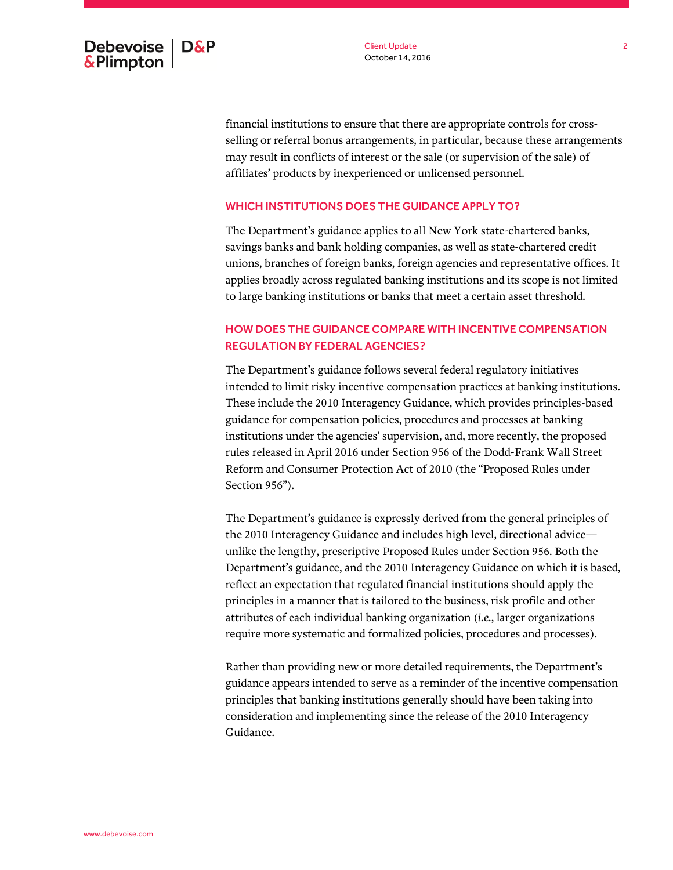financial institutions to ensure that there are appropriate controls for crossselling or referral bonus arrangements, in particular, because these arrangements may result in conflicts of interest or the sale (or supervision of the sale) of affiliates' products by inexperienced or unlicensed personnel.

## WHICH INSTITUTIONS DOES THE GUIDANCE APPLY TO?

The Department's guidance applies to all New York state-chartered banks, savings banks and bank holding companies, as well as state-chartered credit unions, branches of foreign banks, foreign agencies and representative offices. It applies broadly across regulated banking institutions and its scope is not limited to large banking institutions or banks that meet a certain asset threshold.

## HOW DOES THE GUIDANCE COMPARE WITH INCENTIVE COMPENSATION REGULATION BY FEDERAL AGENCIES?

The Department's guidance follows several federal regulatory initiatives intended to limit risky incentive compensation practices at banking institutions. These include the 2010 Interagency Guidance, which provides principles-based guidance for compensation policies, procedures and processes at banking institutions under the agencies' supervision, and, more recently, the proposed rules released in April 2016 under Section 956 of the Dodd-Frank Wall Street Reform and Consumer Protection Act of 2010 (the "Proposed Rules under Section 956").

The Department's guidance is expressly derived from the general principles of the 2010 Interagency Guidance and includes high level, directional advice unlike the lengthy, prescriptive Proposed Rules under Section 956. Both the Department's guidance, and the 2010 Interagency Guidance on which it is based, reflect an expectation that regulated financial institutions should apply the principles in a manner that is tailored to the business, risk profile and other attributes of each individual banking organization (*i.e.*, larger organizations require more systematic and formalized policies, procedures and processes).

Rather than providing new or more detailed requirements, the Department's guidance appears intended to serve as a reminder of the incentive compensation principles that banking institutions generally should have been taking into consideration and implementing since the release of the 2010 Interagency Guidance.